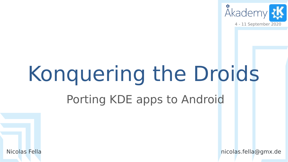

# Konquering the Droids

#### Porting KDE apps to Android



Nicolas Fella nicolas.fella@gmx.de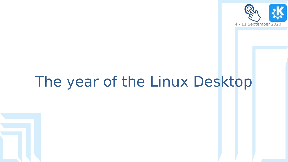

### The year of the Linux Desktop

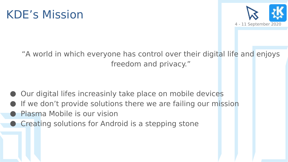



"A world in which everyone has control over their digital life and enjoys freedom and privacy."

- Our digital lifes increasinly take place on mobile devices
- If we don't provide solutions there we are failing our mission
- Plasma Mobile is our vision
- Creating solutions for Android is a stepping stone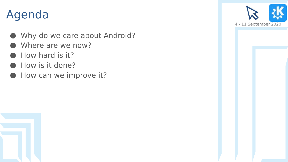#### Agenda

- Why do we care about Android?
- Where are we now?
- How hard is it?
- How is it done?
- How can we improve it?



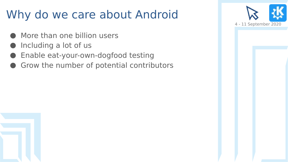#### Why do we care about Android

- More than one billion users
- Including a lot of us
- Enable eat-your-own-dogfood testing
- Grow the number of potential contributors

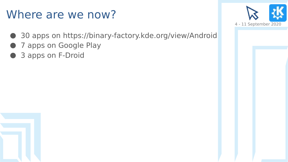#### Where are we now?

- 30 apps on <https://binary-factory.kde.org/view/Android>
- 7 apps on Google Play
- 3 apps on F-Droid

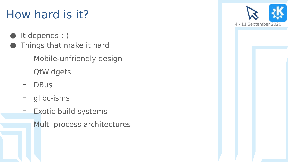#### How hard is it?

- It depends ;-)
- Things that make it hard
	- Mobile-unfriendly design
	- QtWidgets
	- DBus
	- glibc-isms
	- Exotic build systems
	- Multi-process architectures

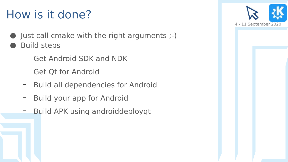#### How is it done?

- Just call cmake with the right arguments ;-)
- **Build steps** 
	- Get Android SDK and NDK
	- Get Qt for Android
	- Build all dependencies for Android
	- Build your app for Android
	- Build APK using androiddeployqt

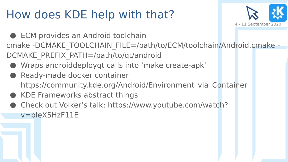#### How does KDE help with that?



- **ECM provides an Android toolchain** cmake -DCMAKE\_TOOLCHAIN\_FILE=/path/to/ECM/toolchain/Android.cmake -DCMAKE\_PREFIX\_PATH=/path/to/qt/android
	- Wraps androiddeployqt calls into 'make create-apk'
	- Ready-made docker container https://community.kde.org/Android/Environment via Container
	- KDE Frameworks abstract things
	- Check out Volker's talk: https://www.youtube.com/watch? v=bIeX5HzF11E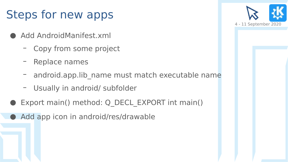#### Steps for new apps

- Add AndroidManifest.xml
	- Copy from some project
	- Replace names
	- android.app.lib name must match executable name
	- Usually in android/ subfolder
- Export main() method: Q\_DECL\_EXPORT int main()
	- Add app icon in android/res/drawable

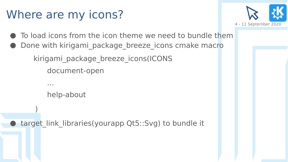#### Where are my icons?



- To load icons from the icon theme we need to bundle them
- Done with kirigami package breeze icons cmake macro

kirigami package breeze icons(ICONS

document-open

help-about

...

)

target link libraries(yourapp Qt5::Svg) to bundle it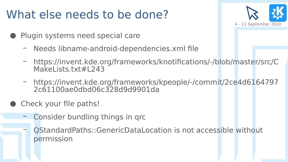#### What else needs to be done?



- Plugin systems need special care
	- Needs libname-android-dependencies.xml file
	- [https://invent.kde.org/frameworks/knotifications/-/blob/master/src/C](https://invent.kde.org/frameworks/knotifications/-/blob/master/src/CMakeLists.txt#L243) [MakeLists.txt#L243](https://invent.kde.org/frameworks/knotifications/-/blob/master/src/CMakeLists.txt#L243)
	- [https://invent.kde.org/frameworks/kpeople/-/commit/2ce4d6164797](https://invent.kde.org/frameworks/kpeople/-/commit/2ce4d61647972c61100ae0dbd06c328d9d9901da) [2c61100ae0dbd06c328d9d9901da](https://invent.kde.org/frameworks/kpeople/-/commit/2ce4d61647972c61100ae0dbd06c328d9d9901da)
- Check your file paths!
	- Consider bundling things in qrc
	- QStandardPaths::GenericDataLocation is not accessible without permission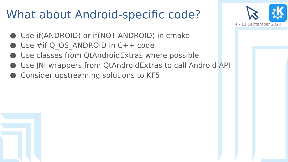#### What about Android-specific code?



- Use if(ANDROID) or if(NOT ANDROID) in cmake
- Use  $#$ if Q OS ANDROID in C++ code
- Use classes from QtAndroidExtras where possible
- Use JNI wrappers from QtAndroidExtras to call Android API
- Consider upstreaming solutions to KF5

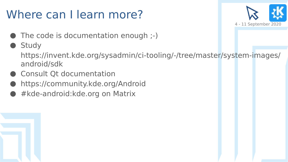#### Where can I learn more?



- The code is documentation enough ;-)
- Study

[https://invent.kde.org/sysadmin/ci-tooling/-/tree/master/system-images/](https://invent.kde.org/sysadmin/ci-tooling/-/tree/master/system-images/android/sdk) [android/sdk](https://invent.kde.org/sysadmin/ci-tooling/-/tree/master/system-images/android/sdk)

- Consult Qt documentation
- <https://community.kde.org/Android>
- #kde-android:kde.org on Matrix

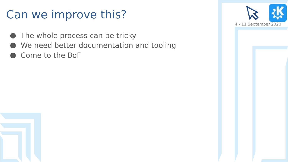#### Can we improve this?

- The whole process can be tricky
- We need better documentation and tooling
- Come to the BoF